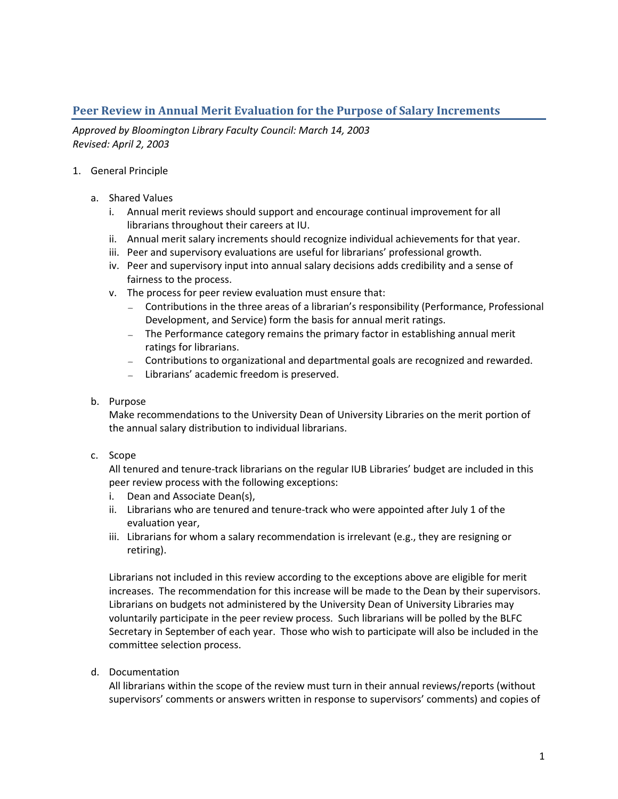# **Peer Review in Annual Merit Evaluation for the Purpose of Salary Increments**

*Approved by Bloomington Library Faculty Council: March 14, 2003 Revised: April 2, 2003*

- 1. General Principle
	- a. Shared Values
		- i. Annual merit reviews should support and encourage continual improvement for all librarians throughout their careers at IU.
		- ii. Annual merit salary increments should recognize individual achievements for that year.
		- iii. Peer and supervisory evaluations are useful for librarians' professional growth.
		- iv. Peer and supervisory input into annual salary decisions adds credibility and a sense of fairness to the process.
		- v. The process for peer review evaluation must ensure that:
			- Contributions in the three areas of a librarian's responsibility (Performance, Professional Development, and Service) form the basis for annual merit ratings.
			- The Performance category remains the primary factor in establishing annual merit ratings for librarians.
			- Contributions to organizational and departmental goals are recognized and rewarded.
			- Librarians' academic freedom is preserved.

### b. Purpose

Make recommendations to the University Dean of University Libraries on the merit portion of the annual salary distribution to individual librarians.

c. Scope

All tenured and tenure-track librarians on the regular IUB Libraries' budget are included in this peer review process with the following exceptions:

- i. Dean and Associate Dean(s),
- ii. Librarians who are tenured and tenure-track who were appointed after July 1 of the evaluation year,
- iii. Librarians for whom a salary recommendation is irrelevant (e.g., they are resigning or retiring).

Librarians not included in this review according to the exceptions above are eligible for merit increases. The recommendation for this increase will be made to the Dean by their supervisors. Librarians on budgets not administered by the University Dean of University Libraries may voluntarily participate in the peer review process. Such librarians will be polled by the BLFC Secretary in September of each year. Those who wish to participate will also be included in the committee selection process.

d. Documentation

All librarians within the scope of the review must turn in their annual reviews/reports (without supervisors' comments or answers written in response to supervisors' comments) and copies of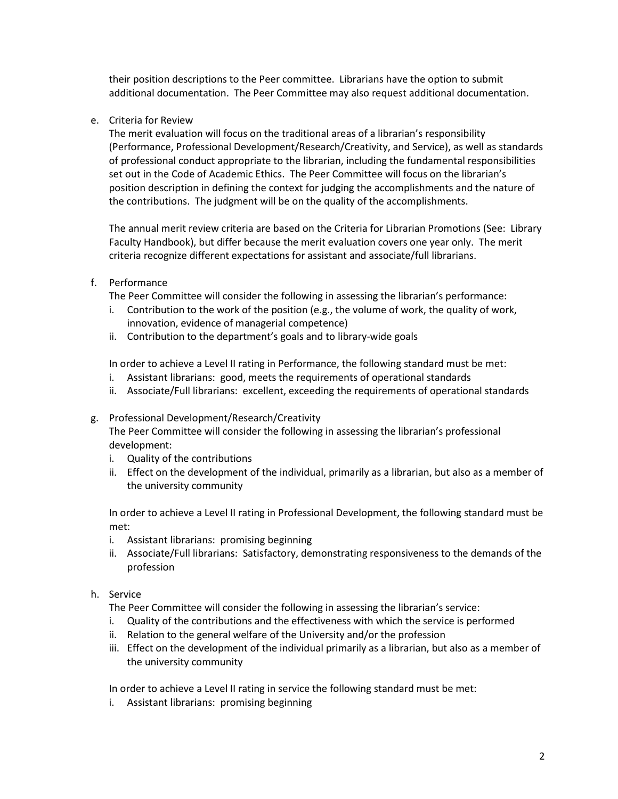their position descriptions to the Peer committee. Librarians have the option to submit additional documentation. The Peer Committee may also request additional documentation.

e. Criteria for Review

The merit evaluation will focus on the traditional areas of a librarian's responsibility (Performance, Professional Development/Research/Creativity, and Service), as well as standards of professional conduct appropriate to the librarian, including the fundamental responsibilities set out in the Code of Academic Ethics. The Peer Committee will focus on the librarian's position description in defining the context for judging the accomplishments and the nature of the contributions. The judgment will be on the quality of the accomplishments.

The annual merit review criteria are based on the Criteria for Librarian Promotions (See: Library Faculty Handbook), but differ because the merit evaluation covers one year only. The merit criteria recognize different expectations for assistant and associate/full librarians.

## f. Performance

The Peer Committee will consider the following in assessing the librarian's performance:

- i. Contribution to the work of the position (e.g., the volume of work, the quality of work, innovation, evidence of managerial competence)
- ii. Contribution to the department's goals and to library-wide goals

In order to achieve a Level II rating in Performance, the following standard must be met:

- i. Assistant librarians: good, meets the requirements of operational standards
- ii. Associate/Full librarians: excellent, exceeding the requirements of operational standards

#### g. Professional Development/Research/Creativity

The Peer Committee will consider the following in assessing the librarian's professional development:

- i. Quality of the contributions
- ii. Effect on the development of the individual, primarily as a librarian, but also as a member of the university community

In order to achieve a Level II rating in Professional Development, the following standard must be met:

- i. Assistant librarians: promising beginning
- ii. Associate/Full librarians: Satisfactory, demonstrating responsiveness to the demands of the profession

#### h. Service

The Peer Committee will consider the following in assessing the librarian's service:

- i. Quality of the contributions and the effectiveness with which the service is performed
- ii. Relation to the general welfare of the University and/or the profession
- iii. Effect on the development of the individual primarily as a librarian, but also as a member of the university community

In order to achieve a Level II rating in service the following standard must be met:

i. Assistant librarians: promising beginning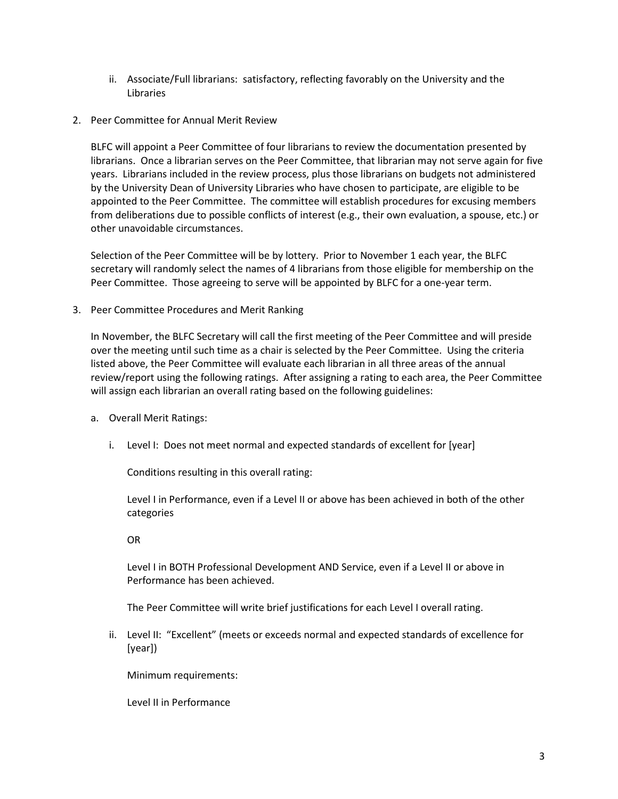- ii. Associate/Full librarians: satisfactory, reflecting favorably on the University and the Libraries
- 2. Peer Committee for Annual Merit Review

BLFC will appoint a Peer Committee of four librarians to review the documentation presented by librarians. Once a librarian serves on the Peer Committee, that librarian may not serve again for five years. Librarians included in the review process, plus those librarians on budgets not administered by the University Dean of University Libraries who have chosen to participate, are eligible to be appointed to the Peer Committee. The committee will establish procedures for excusing members from deliberations due to possible conflicts of interest (e.g., their own evaluation, a spouse, etc.) or other unavoidable circumstances.

Selection of the Peer Committee will be by lottery. Prior to November 1 each year, the BLFC secretary will randomly select the names of 4 librarians from those eligible for membership on the Peer Committee. Those agreeing to serve will be appointed by BLFC for a one-year term.

3. Peer Committee Procedures and Merit Ranking

In November, the BLFC Secretary will call the first meeting of the Peer Committee and will preside over the meeting until such time as a chair is selected by the Peer Committee. Using the criteria listed above, the Peer Committee will evaluate each librarian in all three areas of the annual review/report using the following ratings. After assigning a rating to each area, the Peer Committee will assign each librarian an overall rating based on the following guidelines:

- a. Overall Merit Ratings:
	- i. Level I: Does not meet normal and expected standards of excellent for [year]

Conditions resulting in this overall rating:

Level I in Performance, even if a Level II or above has been achieved in both of the other categories

OR

Level I in BOTH Professional Development AND Service, even if a Level II or above in Performance has been achieved.

The Peer Committee will write brief justifications for each Level I overall rating.

ii. Level II: "Excellent" (meets or exceeds normal and expected standards of excellence for [year])

Minimum requirements:

Level II in Performance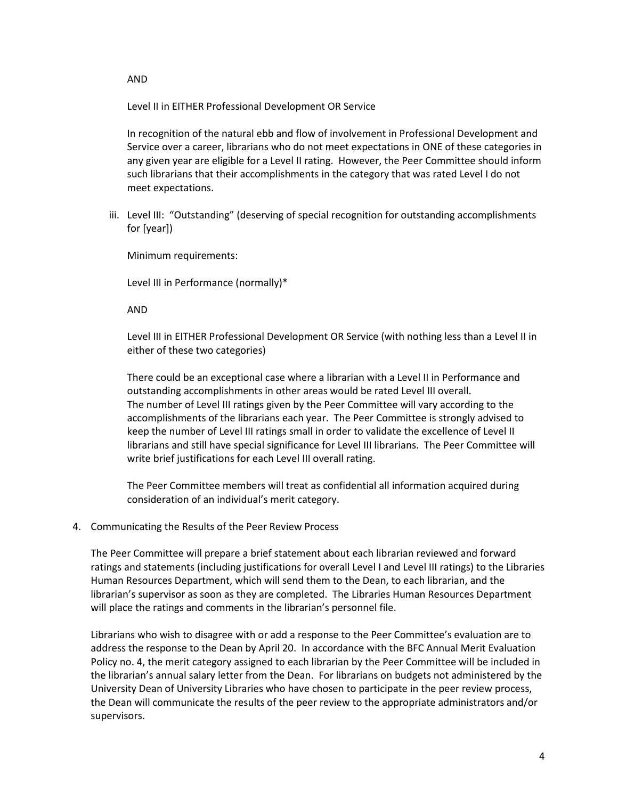AND

Level II in EITHER Professional Development OR Service

In recognition of the natural ebb and flow of involvement in Professional Development and Service over a career, librarians who do not meet expectations in ONE of these categories in any given year are eligible for a Level II rating. However, the Peer Committee should inform such librarians that their accomplishments in the category that was rated Level I do not meet expectations.

iii. Level III: "Outstanding" (deserving of special recognition for outstanding accomplishments for [year])

Minimum requirements:

Level III in Performance (normally)\*

AND

Level III in EITHER Professional Development OR Service (with nothing less than a Level II in either of these two categories)

There could be an exceptional case where a librarian with a Level II in Performance and outstanding accomplishments in other areas would be rated Level III overall. The number of Level III ratings given by the Peer Committee will vary according to the accomplishments of the librarians each year. The Peer Committee is strongly advised to keep the number of Level III ratings small in order to validate the excellence of Level II librarians and still have special significance for Level III librarians. The Peer Committee will write brief justifications for each Level III overall rating.

The Peer Committee members will treat as confidential all information acquired during consideration of an individual's merit category.

#### 4. Communicating the Results of the Peer Review Process

The Peer Committee will prepare a brief statement about each librarian reviewed and forward ratings and statements (including justifications for overall Level I and Level III ratings) to the Libraries Human Resources Department, which will send them to the Dean, to each librarian, and the librarian's supervisor as soon as they are completed. The Libraries Human Resources Department will place the ratings and comments in the librarian's personnel file.

Librarians who wish to disagree with or add a response to the Peer Committee's evaluation are to address the response to the Dean by April 20. In accordance with the BFC Annual Merit Evaluation Policy no. 4, the merit category assigned to each librarian by the Peer Committee will be included in the librarian's annual salary letter from the Dean. For librarians on budgets not administered by the University Dean of University Libraries who have chosen to participate in the peer review process, the Dean will communicate the results of the peer review to the appropriate administrators and/or supervisors.